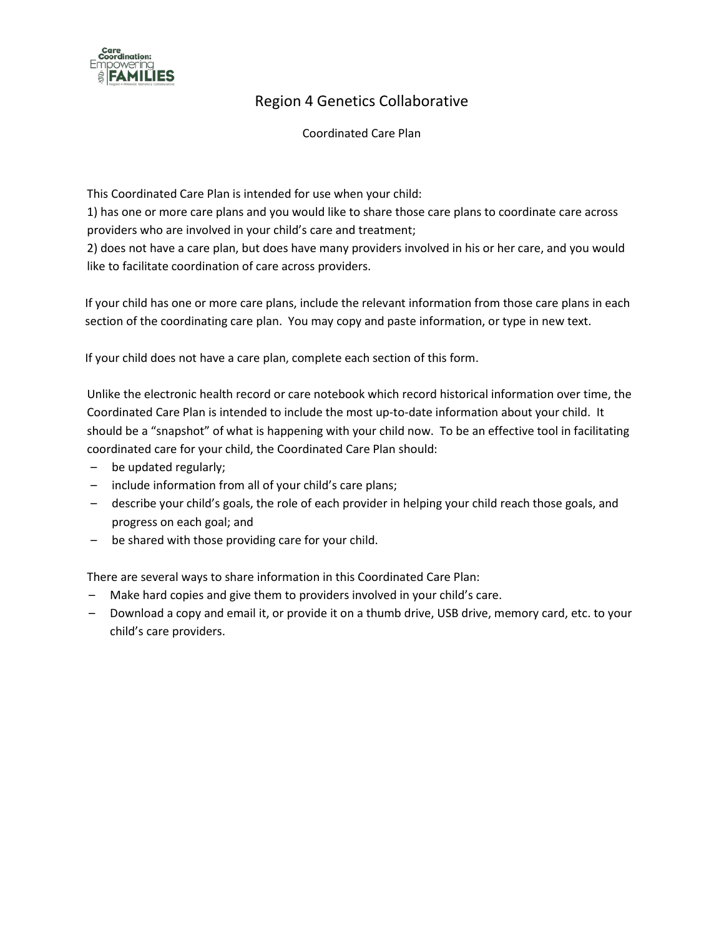

# Region 4 Genetics Collaborative

Coordinated Care Plan

This Coordinated Care Plan is intended for use when your child:

1) has one or more care plans and you would like to share those care plans to coordinate care across providers who are involved in your child's care and treatment;

2) does not have a care plan, but does have many providers involved in his or her care, and you would like to facilitate coordination of care across providers.

If your child has one or more care plans, include the relevant information from those care plans in each section of the coordinating care plan. You may copy and paste information, or type in new text.

If your child does not have a care plan, complete each section of this form.

Unlike the electronic health record or care notebook which record historical information over time, the Coordinated Care Plan is intended to include the most up-to-date information about your child. It should be a "snapshot" of what is happening with your child now. To be an effective tool in facilitating coordinated care for your child, the Coordinated Care Plan should:

- be updated regularly;
- include information from all of your child's care plans;
- describe your child's goals, the role of each provider in helping your child reach those goals, and progress on each goal; and
- be shared with those providing care for your child.

There are several ways to share information in this Coordinated Care Plan:

- Make hard copies and give them to providers involved in your child's care.
- Download a copy and email it, or provide it on a thumb drive, USB drive, memory card, etc. to your child's care providers.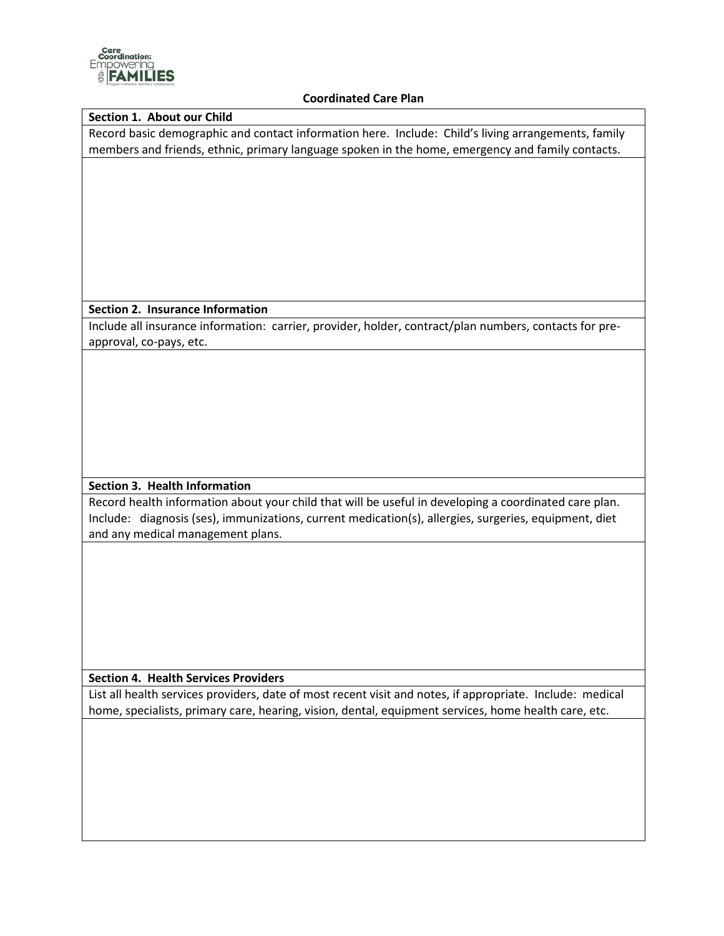

#### **Coordinated Care Plan**

#### **Section 1. About our Child**

Record basic demographic and contact information here. Include: Child's living arrangements, family members and friends, ethnic, primary language spoken in the home, emergency and family contacts.

#### **Section 2. Insurance Information**

Include all insurance information: carrier, provider, holder, contract/plan numbers, contacts for preapproval, co-pays, etc.

## **Section 3. Health Information**

Record health information about your child that will be useful in developing a coordinated care plan. Include: diagnosis (ses), immunizations, current medication(s), allergies, surgeries, equipment, diet and any medical management plans.

**Section 4. Health Services Providers**

List all health services providers, date of most recent visit and notes, if appropriate. Include: medical home, specialists, primary care, hearing, vision, dental, equipment services, home health care, etc.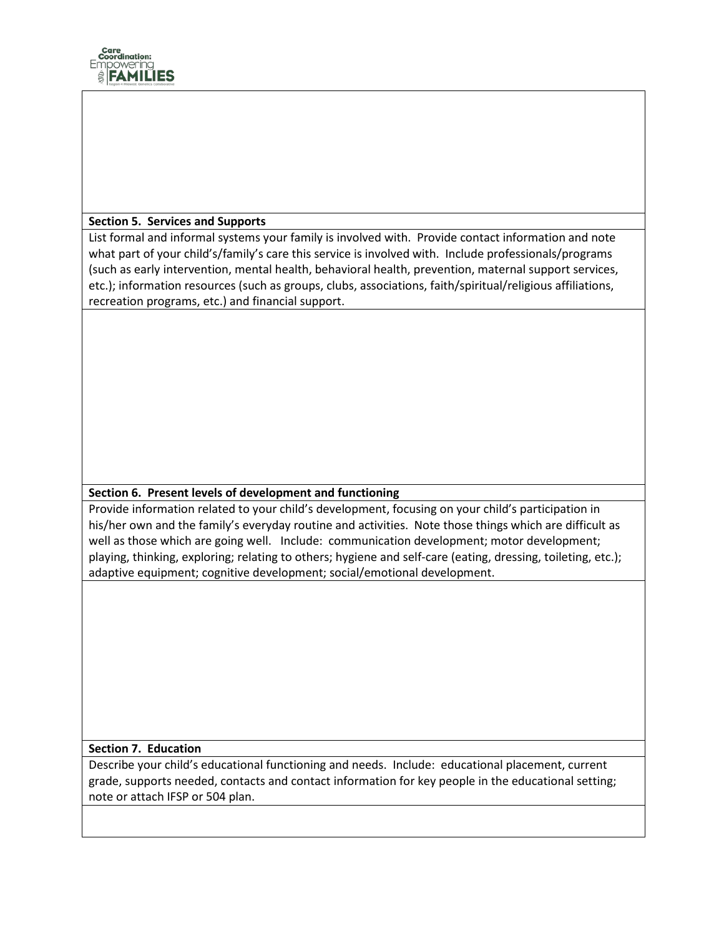

# **Section 5. Services and Supports**

List formal and informal systems your family is involved with. Provide contact information and note what part of your child's/family's care this service is involved with. Include professionals/programs (such as early intervention, mental health, behavioral health, prevention, maternal support services, etc.); information resources (such as groups, clubs, associations, faith/spiritual/religious affiliations, recreation programs, etc.) and financial support.

## **Section 6. Present levels of development and functioning**

Provide information related to your child's development, focusing on your child's participation in his/her own and the family's everyday routine and activities. Note those things which are difficult as well as those which are going well. Include: communication development; motor development; playing, thinking, exploring; relating to others; hygiene and self-care (eating, dressing, toileting, etc.); adaptive equipment; cognitive development; social/emotional development.

## **Section 7. Education**

Describe your child's educational functioning and needs. Include: educational placement, current grade, supports needed, contacts and contact information for key people in the educational setting; note or attach IFSP or 504 plan.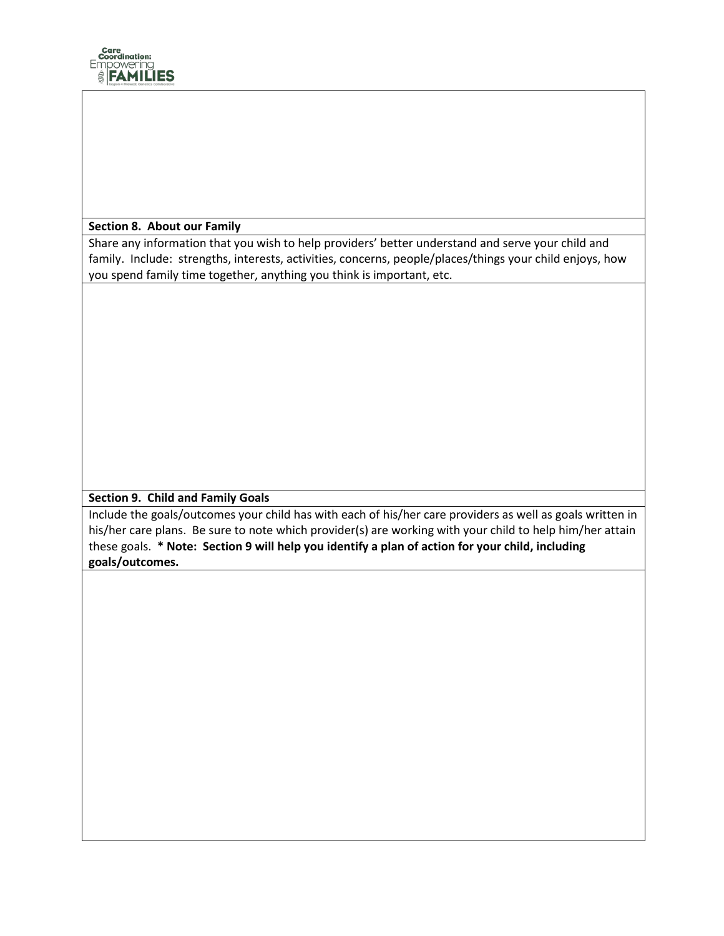

#### **Section 8. About our Family**

Share any information that you wish to help providers' better understand and serve your child and family. Include: strengths, interests, activities, concerns, people/places/things your child enjoys, how you spend family time together, anything you think is important, etc.

## **Section 9. Child and Family Goals**

Include the goals/outcomes your child has with each of his/her care providers as well as goals written in his/her care plans. Be sure to note which provider(s) are working with your child to help him/her attain these goals. **\* Note: Section 9 will help you identify a plan of action for your child, including goals/outcomes.**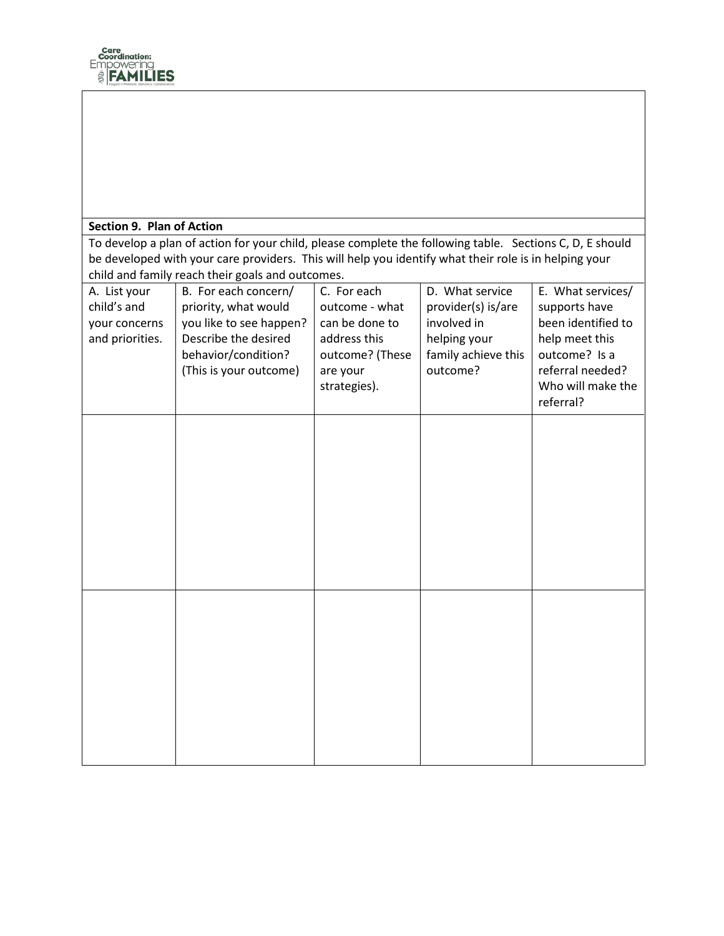

# **Section 9. Plan of Action**

To develop a plan of action for your child, please complete the following table. Sections C, D, E should be developed with your care providers. This will help you identify what their role is in helping your child and family reach their goals and outcomes.

| A. List your<br>child's and<br>your concerns<br>and priorities. | B. For each concern/<br>priority, what would<br>you like to see happen?<br>Describe the desired<br>behavior/condition?<br>(This is your outcome) | C. For each<br>outcome - what<br>can be done to<br>address this<br>outcome? (These<br>are your<br>strategies). | D. What service<br>provider(s) is/are<br>involved in<br>helping your<br>family achieve this<br>outcome? | E. What services/<br>supports have<br>been identified to<br>help meet this<br>outcome? Is a<br>referral needed?<br>Who will make the<br>referral? |
|-----------------------------------------------------------------|--------------------------------------------------------------------------------------------------------------------------------------------------|----------------------------------------------------------------------------------------------------------------|---------------------------------------------------------------------------------------------------------|---------------------------------------------------------------------------------------------------------------------------------------------------|
|                                                                 |                                                                                                                                                  |                                                                                                                |                                                                                                         |                                                                                                                                                   |
|                                                                 |                                                                                                                                                  |                                                                                                                |                                                                                                         |                                                                                                                                                   |